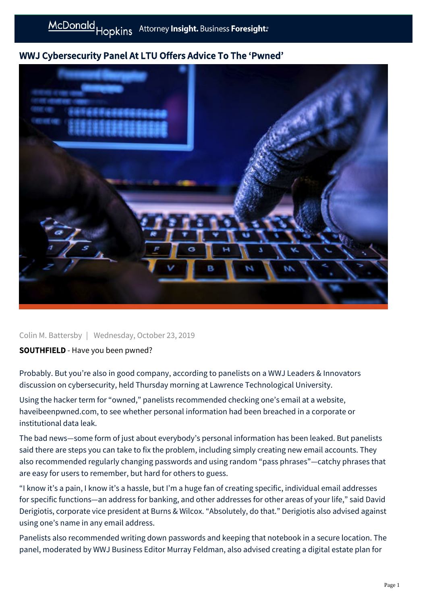## WWJ Cybersecurity Panel At LTU Offers Advice To The 'Pwned'



Colin M. Battersby | Wednesday, October 23, 2019

## SOUTHFIELD - Have you been pwned?

Probably. But you're also in good company, according to panelists on a WWJ Leaders & Innovators discussion on cybersecurity, held Thursday morning at Lawrence Technological University.

Using the hacker term for "owned," panelists recommended checking one's email at a website, haveibeenpwned.com, to see whether personal information had been breached in a corporate or institutional data leak.

The bad news—some form of just about everybody's personal information has been leaked. But panelists said there are steps you can take to fix the problem, including simply creating new email accounts. They also recommended regularly changing passwords and using random "pass phrases"—catchy phrases that are easy for users to remember, but hard for others to guess.

"I know it's a pain, I know it's a hassle, but I'm a huge fan of creating specific, individual email addresses for specific functions—an address for banking, and other addresses for other areas of your life," said David Derigiotis, corporate vice president at Burns & Wilcox. "Absolutely, do that." Derigiotis also advised against using one's name in any email address.

Panelists also recommended writing down passwords and keeping that notebook in a secure location. The panel, moderated by WWJ Business Editor Murray Feldman, also advised creating a digital estate plan for